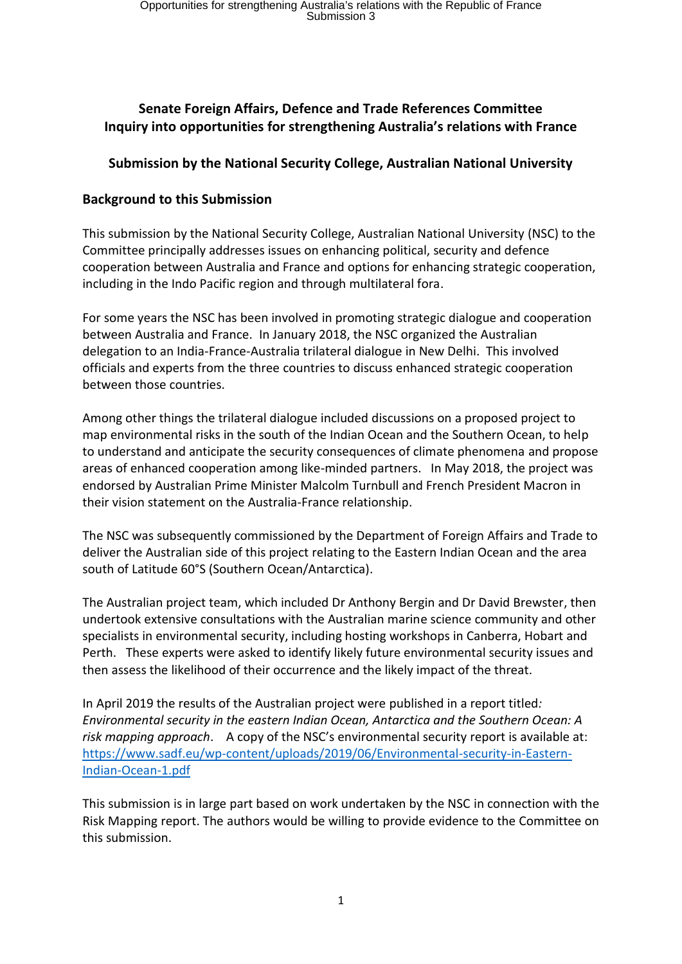# **Senate Foreign Affairs, Defence and Trade References Committee Inquiry into opportunities for strengthening Australia's relations with France**

# **Submission by the National Security College, Australian National University**

# **Background to this Submission**

This submission by the National Security College, Australian National University (NSC) to the Committee principally addresses issues on enhancing political, security and defence cooperation between Australia and France and options for enhancing strategic cooperation, including in the Indo Pacific region and through multilateral fora.

For some years the NSC has been involved in promoting strategic dialogue and cooperation between Australia and France. In January 2018, the NSC organized the Australian delegation to an India-France-Australia trilateral dialogue in New Delhi. This involved officials and experts from the three countries to discuss enhanced strategic cooperation between those countries.

Among other things the trilateral dialogue included discussions on a proposed project to map environmental risks in the south of the Indian Ocean and the Southern Ocean, to help to understand and anticipate the security consequences of climate phenomena and propose areas of enhanced cooperation among like-minded partners. In May 2018, the project was endorsed by Australian Prime Minister Malcolm Turnbull and French President Macron in their vision statement on the Australia-France relationship.

The NSC was subsequently commissioned by the Department of Foreign Affairs and Trade to deliver the Australian side of this project relating to the Eastern Indian Ocean and the area south of Latitude 60°S (Southern Ocean/Antarctica).

The Australian project team, which included Dr Anthony Bergin and Dr David Brewster, then undertook extensive consultations with the Australian marine science community and other specialists in environmental security, including hosting workshops in Canberra, Hobart and Perth. These experts were asked to identify likely future environmental security issues and then assess the likelihood of their occurrence and the likely impact of the threat.

In April 2019 the results of the Australian project were published in a report titled*: Environmental security in the eastern Indian Ocean, Antarctica and the Southern Ocean: A risk mapping approach*. A copy of the NSC's environmental security report is available at: [https://www.sadf.eu/wp-content/uploads/2019/06/Environmental-security-in-Eastern-](https://www.sadf.eu/wp-content/uploads/2019/06/Environmental-security-in-Eastern-Indian-Ocean-1.pdf)[Indian-Ocean-1.pdf](https://www.sadf.eu/wp-content/uploads/2019/06/Environmental-security-in-Eastern-Indian-Ocean-1.pdf)

This submission is in large part based on work undertaken by the NSC in connection with the Risk Mapping report. The authors would be willing to provide evidence to the Committee on this submission.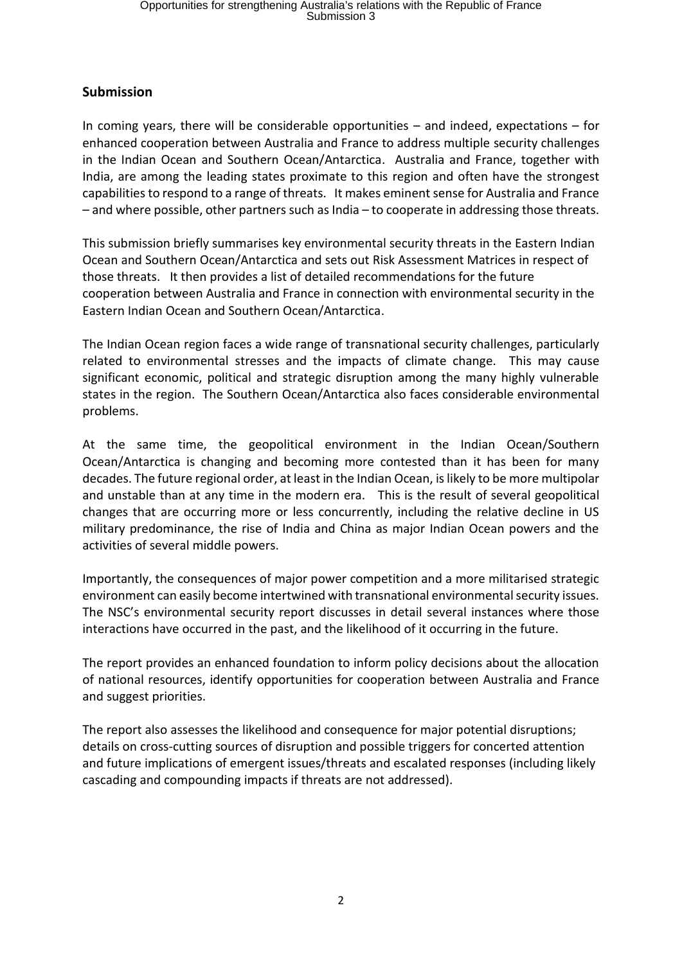## **Submission**

In coming years, there will be considerable opportunities – and indeed, expectations – for enhanced cooperation between Australia and France to address multiple security challenges in the Indian Ocean and Southern Ocean/Antarctica. Australia and France, together with India, are among the leading states proximate to this region and often have the strongest capabilities to respond to a range of threats. It makes eminent sense for Australia and France – and where possible, other partners such as India – to cooperate in addressing those threats.

This submission briefly summarises key environmental security threats in the Eastern Indian Ocean and Southern Ocean/Antarctica and sets out Risk Assessment Matrices in respect of those threats. It then provides a list of detailed recommendations for the future cooperation between Australia and France in connection with environmental security in the Eastern Indian Ocean and Southern Ocean/Antarctica.

The Indian Ocean region faces a wide range of transnational security challenges, particularly related to environmental stresses and the impacts of climate change. This may cause significant economic, political and strategic disruption among the many highly vulnerable states in the region. The Southern Ocean/Antarctica also faces considerable environmental problems.

At the same time, the geopolitical environment in the Indian Ocean/Southern Ocean/Antarctica is changing and becoming more contested than it has been for many decades. The future regional order, at least in the Indian Ocean, is likely to be more multipolar and unstable than at any time in the modern era. This is the result of several geopolitical changes that are occurring more or less concurrently, including the relative decline in US military predominance, the rise of India and China as major Indian Ocean powers and the activities of several middle powers.

Importantly, the consequences of major power competition and a more militarised strategic environment can easily become intertwined with transnational environmental security issues. The NSC's environmental security report discusses in detail several instances where those interactions have occurred in the past, and the likelihood of it occurring in the future.

The report provides an enhanced foundation to inform policy decisions about the allocation of national resources, identify opportunities for cooperation between Australia and France and suggest priorities.

The report also assesses the likelihood and consequence for major potential disruptions; details on cross-cutting sources of disruption and possible triggers for concerted attention and future implications of emergent issues/threats and escalated responses (including likely cascading and compounding impacts if threats are not addressed).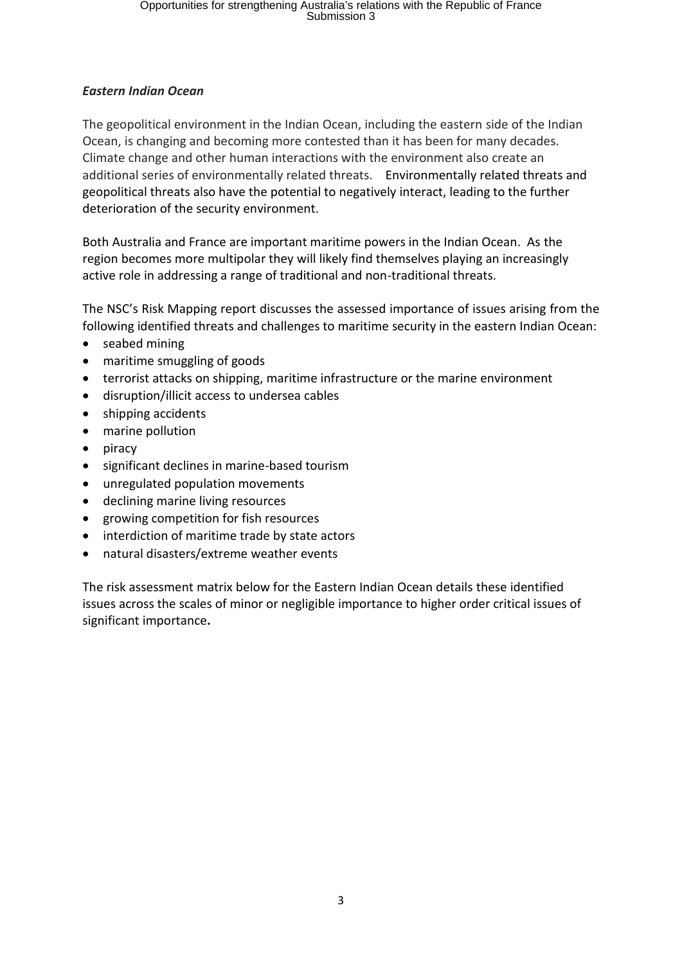## *Eastern Indian Ocean*

The geopolitical environment in the Indian Ocean, including the eastern side of the Indian Ocean, is changing and becoming more contested than it has been for many decades. Climate change and other human interactions with the environment also create an additional series of environmentally related threats. Environmentally related threats and geopolitical threats also have the potential to negatively interact, leading to the further deterioration of the security environment.

Both Australia and France are important maritime powers in the Indian Ocean. As the region becomes more multipolar they will likely find themselves playing an increasingly active role in addressing a range of traditional and non-traditional threats.

The NSC's Risk Mapping report discusses the assessed importance of issues arising from the following identified threats and challenges to maritime security in the eastern Indian Ocean:

- seabed mining
- maritime smuggling of goods
- terrorist attacks on shipping, maritime infrastructure or the marine environment
- disruption/illicit access to undersea cables
- shipping accidents
- marine pollution
- piracy
- significant declines in marine-based tourism
- unregulated population movements
- declining marine living resources
- growing competition for fish resources
- interdiction of maritime trade by state actors
- natural disasters/extreme weather events

The risk assessment matrix below for the Eastern Indian Ocean details these identified issues across the scales of minor or negligible importance to higher order critical issues of significant importance**.**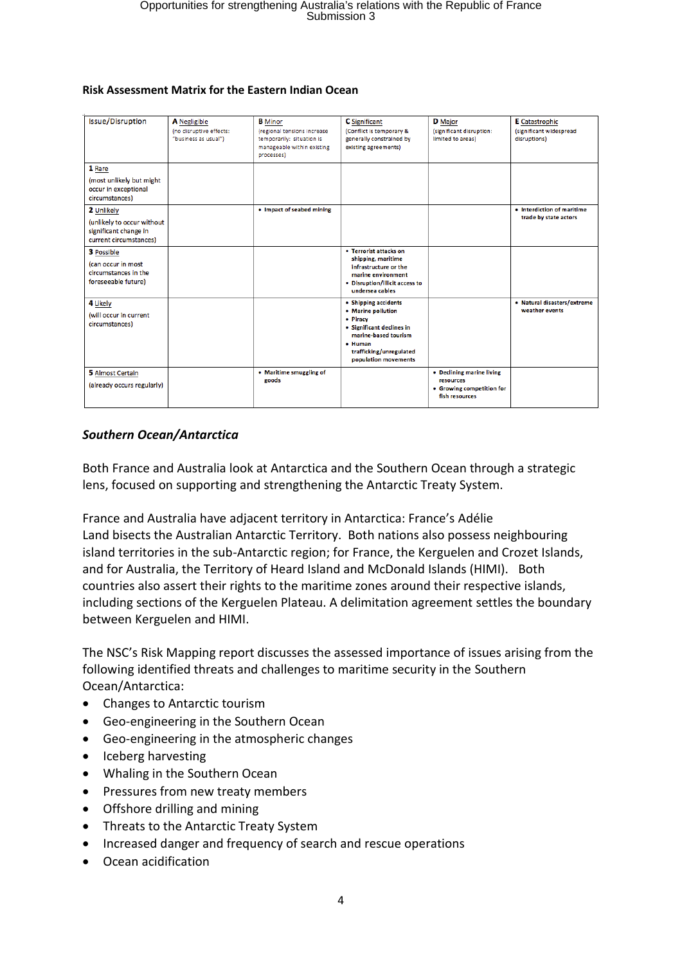| Issue/Disruption                                                                            | <b>A</b> Negligible<br>(no disruptive effects:<br>"business as usual") | <b>B</b> Minor<br>(regional tensions increase<br>temporarily: situation is<br>manageable within existing<br>processes) | <b>C</b> Significant<br>(Conflict is temporary &<br>generally constrained by<br>existing agreements)                                                                      | <b>D</b> Major<br>(significant disruption:<br>limited to areas)                       | <b>E</b> Catastrophic<br>(significant widespread<br>disruptions) |
|---------------------------------------------------------------------------------------------|------------------------------------------------------------------------|------------------------------------------------------------------------------------------------------------------------|---------------------------------------------------------------------------------------------------------------------------------------------------------------------------|---------------------------------------------------------------------------------------|------------------------------------------------------------------|
| 1 Rare<br>(most unlikely but might<br>occur in exceptional<br>circumstances)                |                                                                        |                                                                                                                        |                                                                                                                                                                           |                                                                                       |                                                                  |
| 2 Unlikely<br>(unlikely to occur without<br>significant change in<br>current circumstances) |                                                                        | • Impact of seabed mining                                                                                              |                                                                                                                                                                           |                                                                                       | • Interdiction of maritime<br>trade by state actors              |
| 3 Possible<br>(can occur in most<br>circumstances in the<br>foreseeable future)             |                                                                        |                                                                                                                        | • Terrorist attacks on<br>shipping, maritime<br>infrastructure or the<br>marine environment<br>• Disruption/illicit access to<br>undersea cables                          |                                                                                       |                                                                  |
| 4 Likely<br>(will occur in current<br>circumstances)                                        |                                                                        |                                                                                                                        | • Shipping accidents<br>• Marine pollution<br>• Piracy<br>• Significant declines in<br>marine-based tourism<br>• Human<br>trafficking/unregulated<br>population movements |                                                                                       | · Natural disasters/extreme<br>weather events                    |
| 5 Almost Certain<br>(already occurs regularly)                                              |                                                                        | • Maritime smuggling of<br>goods                                                                                       |                                                                                                                                                                           | • Declining marine living<br>resources<br>• Growing competition for<br>fish resources |                                                                  |

#### **Risk Assessment Matrix for the Eastern Indian Ocean**

### *Southern Ocean/Antarctica*

Both France and Australia look at Antarctica and the Southern Ocean through a strategic lens, focused on supporting and strengthening the Antarctic Treaty System.

France and Australia have adjacent territory in Antarctica: France's Adélie Land bisects the Australian Antarctic Territory. Both nations also possess neighbouring island territories in the sub-Antarctic region; for France, the Kerguelen and Crozet Islands, and for Australia, the Territory of Heard Island and McDonald Islands (HIMI). Both countries also assert their rights to the maritime zones around their respective islands, including sections of the Kerguelen Plateau. A delimitation agreement settles the boundary between Kerguelen and HIMI.

The NSC's Risk Mapping report discusses the assessed importance of issues arising from the following identified threats and challenges to maritime security in the Southern Ocean/Antarctica:

- Changes to Antarctic tourism
- Geo-engineering in the Southern Ocean
- Geo-engineering in the atmospheric changes
- Iceberg harvesting
- Whaling in the Southern Ocean
- Pressures from new treaty members
- Offshore drilling and mining
- Threats to the Antarctic Treaty System
- Increased danger and frequency of search and rescue operations
- Ocean acidification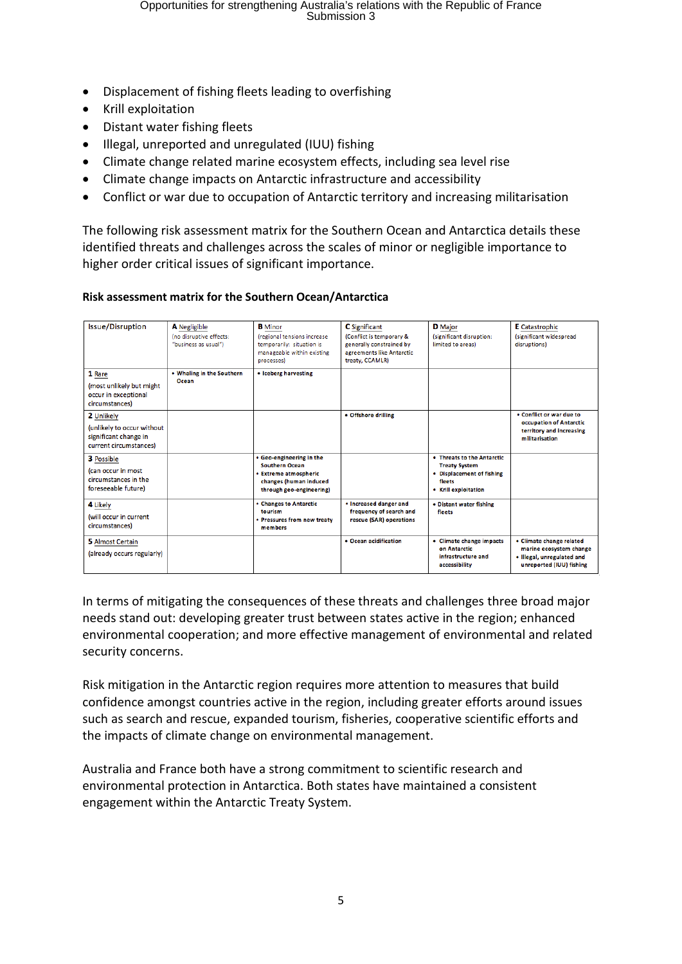- Displacement of fishing fleets leading to overfishing
- Krill exploitation
- Distant water fishing fleets
- Illegal, unreported and unregulated (IUU) fishing
- Climate change related marine ecosystem effects, including sea level rise
- Climate change impacts on Antarctic infrastructure and accessibility
- Conflict or war due to occupation of Antarctic territory and increasing militarisation

The following risk assessment matrix for the Southern Ocean and Antarctica details these identified threats and challenges across the scales of minor or negligible importance to higher order critical issues of significant importance.

#### **Risk assessment matrix for the Southern Ocean/Antarctica**

| <b>Issue/Disruption</b>                                                                     | A Negligible<br>(no disruptive effects:<br>"business as usual") | <b>B</b> Minor<br>(regional tensions increase<br>temporarily: situation is<br>manageable within existing<br>processes)           | <b>C</b> Significant<br>(Conflict is temporary &<br>generally constrained by<br>agreements like Antarctic<br>treaty, CCAMLR) | <b>D</b> Major<br>(significant disruption:<br>limited to areas)                                                   | <b>E</b> Catastrophic<br>(significant widespread<br>disruptions)                                              |
|---------------------------------------------------------------------------------------------|-----------------------------------------------------------------|----------------------------------------------------------------------------------------------------------------------------------|------------------------------------------------------------------------------------------------------------------------------|-------------------------------------------------------------------------------------------------------------------|---------------------------------------------------------------------------------------------------------------|
| 1 Rare<br>(most unlikely but might<br>occur in exceptional<br>circumstances)                | • Whaling in the Southern<br>Ocean                              | • Iceberg harvesting                                                                                                             |                                                                                                                              |                                                                                                                   |                                                                                                               |
| 2 Unlikely<br>(unlikely to occur without<br>significant change in<br>current circumstances) |                                                                 |                                                                                                                                  | • Offshore drilling                                                                                                          |                                                                                                                   | . Conflict or war due to<br>occupation of Antarctic<br>territory and increasing<br>militarisation             |
| <b>3</b> Possible<br>(can occur in most<br>circumstances in the<br>foreseeable future)      |                                                                 | • Geo-engineering in the<br><b>Southern Ocean</b><br>• Extreme atmospheric<br>changes (human induced<br>through geo-engineering) |                                                                                                                              | • Threats to the Antarctic<br><b>Treaty System</b><br>• Displacement of fishing<br>fleets<br>• Krill exploitation |                                                                                                               |
| 4 Likely<br>(will occur in current<br>circumstances)                                        |                                                                 | • Changes to Antarctic<br>tourism<br>• Pressures from new treaty<br>members                                                      | . Increased danger and<br>frequency of search and<br>rescue (SAR) operations                                                 | • Distant water fishing<br>fleets                                                                                 |                                                                                                               |
| 5 Almost Certain<br>(already occurs regularly)                                              |                                                                 |                                                                                                                                  | • Ocean acidification                                                                                                        | • Climate change impacts<br>on Antarctic<br>infrastructure and<br>accessibility                                   | • Climate change related<br>marine ecosystem change<br>· Illegal, unregulated and<br>unreported (IUU) fishing |

In terms of mitigating the consequences of these threats and challenges three broad major needs stand out: developing greater trust between states active in the region; enhanced environmental cooperation; and more effective management of environmental and related security concerns.

Risk mitigation in the Antarctic region requires more attention to measures that build confidence amongst countries active in the region, including greater efforts around issues such as search and rescue, expanded tourism, fisheries, cooperative scientific efforts and the impacts of climate change on environmental management.

Australia and France both have a strong commitment to scientific research and environmental protection in Antarctica. Both states have maintained a consistent engagement within the Antarctic Treaty System.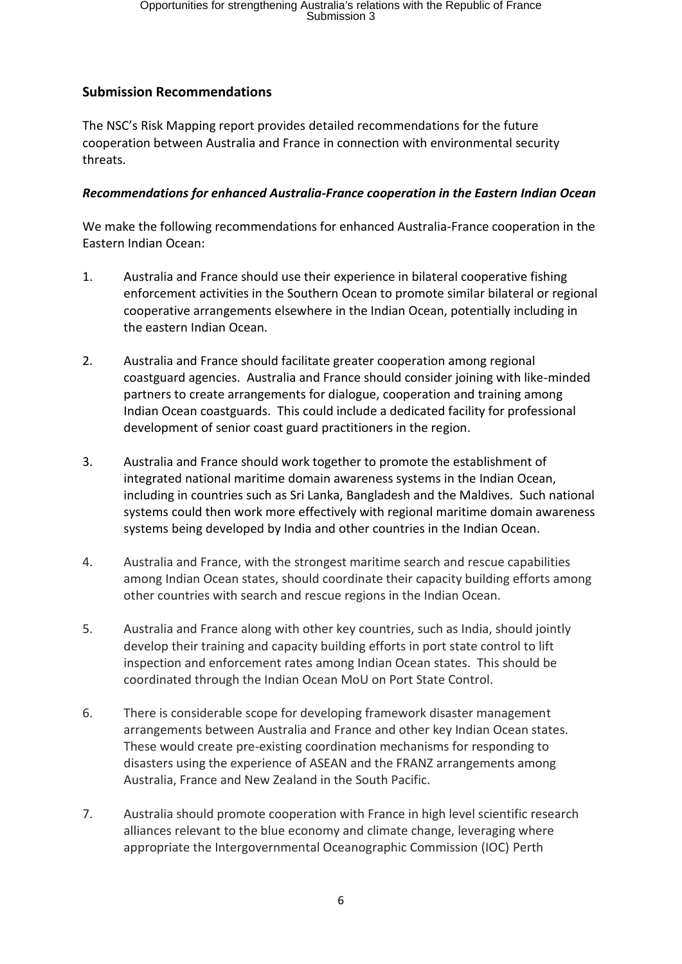## **Submission Recommendations**

The NSC's Risk Mapping report provides detailed recommendations for the future cooperation between Australia and France in connection with environmental security threats.

## *Recommendations for enhanced Australia-France cooperation in the Eastern Indian Ocean*

We make the following recommendations for enhanced Australia-France cooperation in the Eastern Indian Ocean:

- 1. Australia and France should use their experience in bilateral cooperative fishing enforcement activities in the Southern Ocean to promote similar bilateral or regional cooperative arrangements elsewhere in the Indian Ocean, potentially including in the eastern Indian Ocean.
- 2. Australia and France should facilitate greater cooperation among regional coastguard agencies. Australia and France should consider joining with like-minded partners to create arrangements for dialogue, cooperation and training among Indian Ocean coastguards. This could include a dedicated facility for professional development of senior coast guard practitioners in the region.
- 3. Australia and France should work together to promote the establishment of integrated national maritime domain awareness systems in the Indian Ocean, including in countries such as Sri Lanka, Bangladesh and the Maldives. Such national systems could then work more effectively with regional maritime domain awareness systems being developed by India and other countries in the Indian Ocean.
- 4. Australia and France, with the strongest maritime search and rescue capabilities among Indian Ocean states, should coordinate their capacity building efforts among other countries with search and rescue regions in the Indian Ocean.
- 5. Australia and France along with other key countries, such as India, should jointly develop their training and capacity building efforts in port state control to lift inspection and enforcement rates among Indian Ocean states. This should be coordinated through the Indian Ocean MoU on Port State Control.
- 6. There is considerable scope for developing framework disaster management arrangements between Australia and France and other key Indian Ocean states. These would create pre-existing coordination mechanisms for responding to disasters using the experience of ASEAN and the FRANZ arrangements among Australia, France and New Zealand in the South Pacific.
- 7. Australia should promote cooperation with France in high level scientific research alliances relevant to the blue economy and climate change, leveraging where appropriate the Intergovernmental Oceanographic Commission (IOC) Perth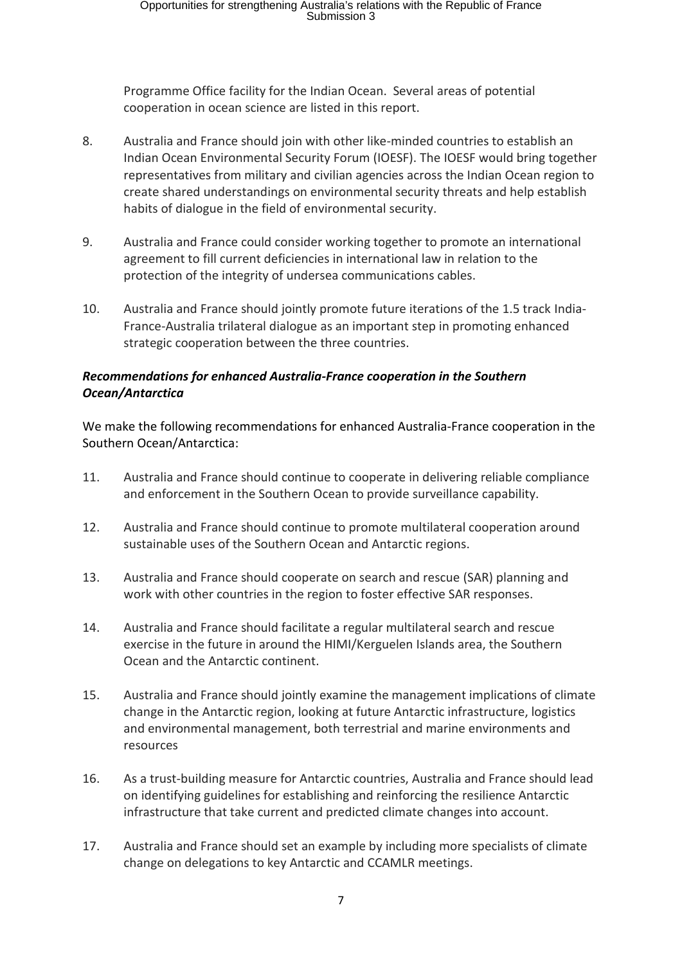Programme Office facility for the Indian Ocean. Several areas of potential cooperation in ocean science are listed in this report.

- 8. Australia and France should join with other like-minded countries to establish an Indian Ocean Environmental Security Forum (IOESF). The IOESF would bring together representatives from military and civilian agencies across the Indian Ocean region to create shared understandings on environmental security threats and help establish habits of dialogue in the field of environmental security.
- 9. Australia and France could consider working together to promote an international agreement to fill current deficiencies in international law in relation to the protection of the integrity of undersea communications cables.
- 10. Australia and France should jointly promote future iterations of the 1.5 track India-France-Australia trilateral dialogue as an important step in promoting enhanced strategic cooperation between the three countries.

## *Recommendations for enhanced Australia-France cooperation in the Southern Ocean/Antarctica*

We make the following recommendations for enhanced Australia-France cooperation in the Southern Ocean/Antarctica:

- 11. Australia and France should continue to cooperate in delivering reliable compliance and enforcement in the Southern Ocean to provide surveillance capability.
- 12. Australia and France should continue to promote multilateral cooperation around sustainable uses of the Southern Ocean and Antarctic regions.
- 13. Australia and France should cooperate on search and rescue (SAR) planning and work with other countries in the region to foster effective SAR responses.
- 14. Australia and France should facilitate a regular multilateral search and rescue exercise in the future in around the HIMI/Kerguelen Islands area, the Southern Ocean and the Antarctic continent.
- 15. Australia and France should jointly examine the management implications of climate change in the Antarctic region, looking at future Antarctic infrastructure, logistics and environmental management, both terrestrial and marine environments and resources
- 16. As a trust-building measure for Antarctic countries, Australia and France should lead on identifying guidelines for establishing and reinforcing the resilience Antarctic infrastructure that take current and predicted climate changes into account.
- 17. Australia and France should set an example by including more specialists of climate change on delegations to key Antarctic and CCAMLR meetings.